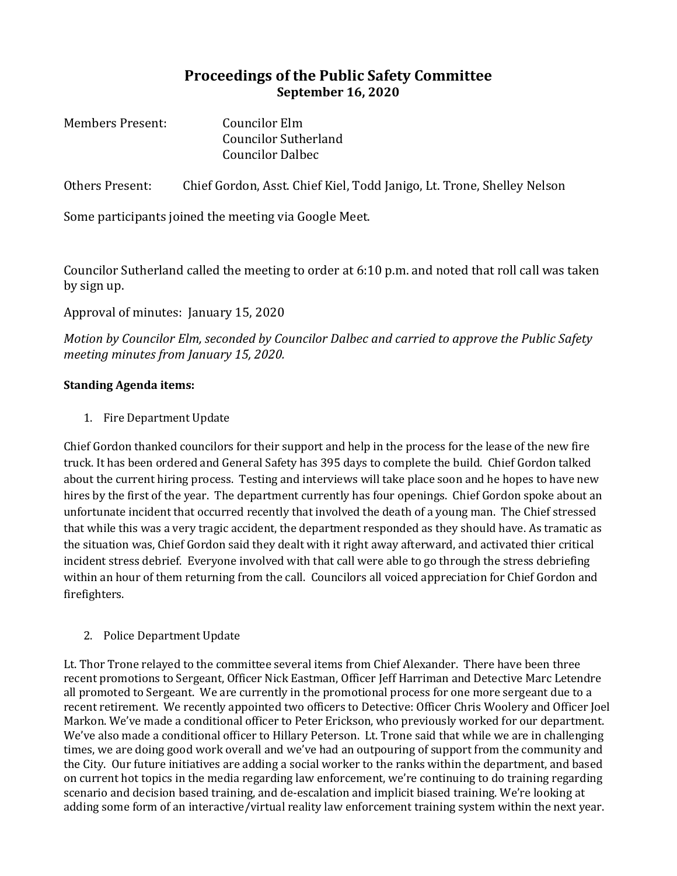# **Proceedings of the Public Safety Committee September 16, 2020**

| <b>Members Present:</b> | Councilor Elm               |
|-------------------------|-----------------------------|
|                         | <b>Councilor Sutherland</b> |
|                         | <b>Councilor Dalbec</b>     |

Others Present: Chief Gordon, Asst. Chief Kiel, Todd Janigo, Lt. Trone, Shelley Nelson

Some participants joined the meeting via Google Meet.

Councilor Sutherland called the meeting to order at 6:10 p.m. and noted that roll call was taken by sign up.

## Approval of minutes: January 15, 2020

*Motion by Councilor Elm, seconded by Councilor Dalbec and carried to approve the Public Safety meeting minutes from January 15, 2020.*

#### **Standing Agenda items:**

1. Fire Department Update

Chief Gordon thanked councilors for their support and help in the process for the lease of the new fire truck. It has been ordered and General Safety has 395 days to complete the build. Chief Gordon talked about the current hiring process. Testing and interviews will take place soon and he hopes to have new hires by the first of the year. The department currently has four openings. Chief Gordon spoke about an unfortunate incident that occurred recently that involved the death of a young man. The Chief stressed that while this was a very tragic accident, the department responded as they should have. As tramatic as the situation was, Chief Gordon said they dealt with it right away afterward, and activated thier critical incident stress debrief. Everyone involved with that call were able to go through the stress debriefing within an hour of them returning from the call. Councilors all voiced appreciation for Chief Gordon and firefighters.

### 2. Police Department Update

Lt. Thor Trone relayed to the committee several items from Chief Alexander. There have been three recent promotions to Sergeant, Officer Nick Eastman, Officer Jeff Harriman and Detective Marc Letendre all promoted to Sergeant. We are currently in the promotional process for one more sergeant due to a recent retirement. We recently appointed two officers to Detective: Officer Chris Woolery and Officer Joel Markon. We've made a conditional officer to Peter Erickson, who previously worked for our department. We've also made a conditional officer to Hillary Peterson. Lt. Trone said that while we are in challenging times, we are doing good work overall and we've had an outpouring of support from the community and the City. Our future initiatives are adding a social worker to the ranks within the department, and based on current hot topics in the media regarding law enforcement, we're continuing to do training regarding scenario and decision based training, and de-escalation and implicit biased training. We're looking at adding some form of an interactive/virtual reality law enforcement training system within the next year.